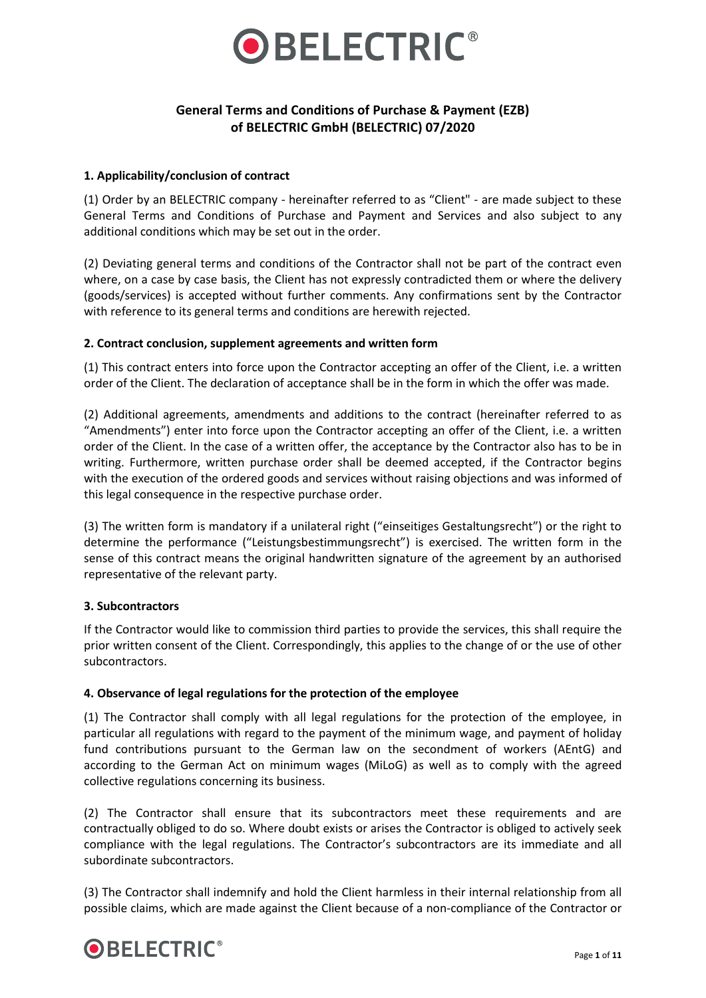

# **General Terms and Conditions of Purchase & Payment (EZB) of BELECTRIC GmbH (BELECTRIC) 07/2020**

#### **1. Applicability/conclusion of contract**

(1) Order by an BELECTRIC company - hereinafter referred to as "Client" - are made subject to these General Terms and Conditions of Purchase and Payment and Services and also subject to any additional conditions which may be set out in the order.

(2) Deviating general terms and conditions of the Contractor shall not be part of the contract even where, on a case by case basis, the Client has not expressly contradicted them or where the delivery (goods/services) is accepted without further comments. Any confirmations sent by the Contractor with reference to its general terms and conditions are herewith rejected.

### **2. Contract conclusion, supplement agreements and written form**

(1) This contract enters into force upon the Contractor accepting an offer of the Client, i.e. a written order of the Client. The declaration of acceptance shall be in the form in which the offer was made.

(2) Additional agreements, amendments and additions to the contract (hereinafter referred to as "Amendments") enter into force upon the Contractor accepting an offer of the Client, i.e. a written order of the Client. In the case of a written offer, the acceptance by the Contractor also has to be in writing. Furthermore, written purchase order shall be deemed accepted, if the Contractor begins with the execution of the ordered goods and services without raising objections and was informed of this legal consequence in the respective purchase order.

(3) The written form is mandatory if a unilateral right ("einseitiges Gestaltungsrecht") or the right to determine the performance ("Leistungsbestimmungsrecht") is exercised. The written form in the sense of this contract means the original handwritten signature of the agreement by an authorised representative of the relevant party.

# **3. Subcontractors**

If the Contractor would like to commission third parties to provide the services, this shall require the prior written consent of the Client. Correspondingly, this applies to the change of or the use of other subcontractors.

#### **4. Observance of legal regulations for the protection of the employee**

(1) The Contractor shall comply with all legal regulations for the protection of the employee, in particular all regulations with regard to the payment of the minimum wage, and payment of holiday fund contributions pursuant to the German law on the secondment of workers (AEntG) and according to the German Act on minimum wages (MiLoG) as well as to comply with the agreed collective regulations concerning its business.

(2) The Contractor shall ensure that its subcontractors meet these requirements and are contractually obliged to do so. Where doubt exists or arises the Contractor is obliged to actively seek compliance with the legal regulations. The Contractor's subcontractors are its immediate and all subordinate subcontractors.

(3) The Contractor shall indemnify and hold the Client harmless in their internal relationship from all possible claims, which are made against the Client because of a non-compliance of the Contractor or

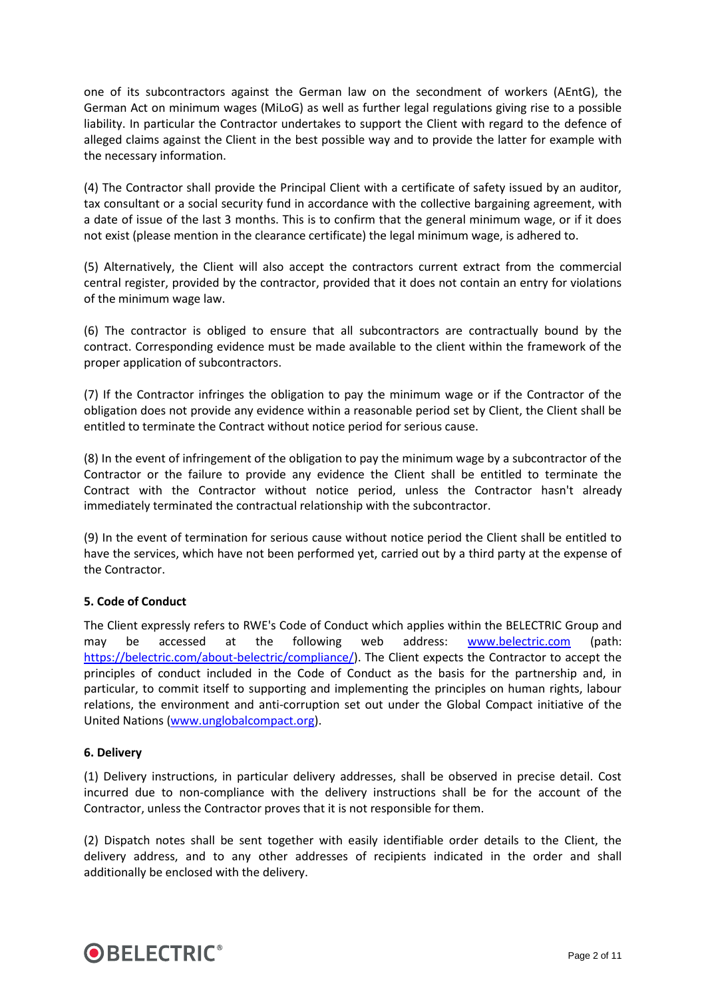one of its subcontractors against the German law on the secondment of workers (AEntG), the German Act on minimum wages (MiLoG) as well as further legal regulations giving rise to a possible liability. In particular the Contractor undertakes to support the Client with regard to the defence of alleged claims against the Client in the best possible way and to provide the latter for example with the necessary information.

(4) The Contractor shall provide the Principal Client with a certificate of safety issued by an auditor, tax consultant or a social security fund in accordance with the collective bargaining agreement, with a date of issue of the last 3 months. This is to confirm that the general minimum wage, or if it does not exist (please mention in the clearance certificate) the legal minimum wage, is adhered to.

(5) Alternatively, the Client will also accept the contractors current extract from the commercial central register, provided by the contractor, provided that it does not contain an entry for violations of the minimum wage law.

(6) The contractor is obliged to ensure that all subcontractors are contractually bound by the contract. Corresponding evidence must be made available to the client within the framework of the proper application of subcontractors.

(7) If the Contractor infringes the obligation to pay the minimum wage or if the Contractor of the obligation does not provide any evidence within a reasonable period set by Client, the Client shall be entitled to terminate the Contract without notice period for serious cause.

(8) In the event of infringement of the obligation to pay the minimum wage by a subcontractor of the Contractor or the failure to provide any evidence the Client shall be entitled to terminate the Contract with the Contractor without notice period, unless the Contractor hasn't already immediately terminated the contractual relationship with the subcontractor.

(9) In the event of termination for serious cause without notice period the Client shall be entitled to have the services, which have not been performed yet, carried out by a third party at the expense of the Contractor.

#### **5. Code of Conduct**

The Client expressly refers to RWE's Code of Conduct which applies within the BELECTRIC Group and may be accessed at the following web address: [www.belectric.com](http://www.belectric.com/) (path: [https://belectric.com/about-belectric/compliance/\)](https://belectric.com/about-belectric/compliance/). The Client expects the Contractor to accept the principles of conduct included in the Code of Conduct as the basis for the partnership and, in particular, to commit itself to supporting and implementing the principles on human rights, labour relations, the environment and anti-corruption set out under the Global Compact initiative of the United Nations [\(www.unglobalcompact.org\)](http://www.unglobalcompact.org/).

#### **6. Delivery**

(1) Delivery instructions, in particular delivery addresses, shall be observed in precise detail. Cost incurred due to non-compliance with the delivery instructions shall be for the account of the Contractor, unless the Contractor proves that it is not responsible for them.

(2) Dispatch notes shall be sent together with easily identifiable order details to the Client, the delivery address, and to any other addresses of recipients indicated in the order and shall additionally be enclosed with the delivery.

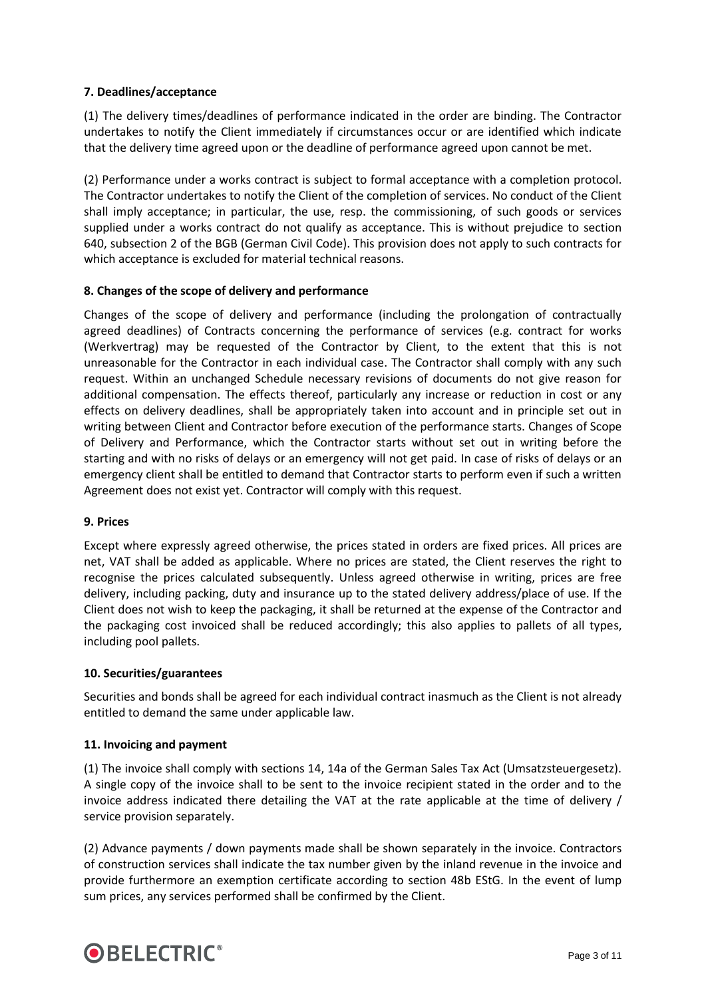### **7. Deadlines/acceptance**

(1) The delivery times/deadlines of performance indicated in the order are binding. The Contractor undertakes to notify the Client immediately if circumstances occur or are identified which indicate that the delivery time agreed upon or the deadline of performance agreed upon cannot be met.

(2) Performance under a works contract is subject to formal acceptance with a completion protocol. The Contractor undertakes to notify the Client of the completion of services. No conduct of the Client shall imply acceptance; in particular, the use, resp. the commissioning, of such goods or services supplied under a works contract do not qualify as acceptance. This is without prejudice to section 640, subsection 2 of the BGB (German Civil Code). This provision does not apply to such contracts for which acceptance is excluded for material technical reasons.

### **8. Changes of the scope of delivery and performance**

Changes of the scope of delivery and performance (including the prolongation of contractually agreed deadlines) of Contracts concerning the performance of services (e.g. contract for works (Werkvertrag) may be requested of the Contractor by Client, to the extent that this is not unreasonable for the Contractor in each individual case. The Contractor shall comply with any such request. Within an unchanged Schedule necessary revisions of documents do not give reason for additional compensation. The effects thereof, particularly any increase or reduction in cost or any effects on delivery deadlines, shall be appropriately taken into account and in principle set out in writing between Client and Contractor before execution of the performance starts. Changes of Scope of Delivery and Performance, which the Contractor starts without set out in writing before the starting and with no risks of delays or an emergency will not get paid. In case of risks of delays or an emergency client shall be entitled to demand that Contractor starts to perform even if such a written Agreement does not exist yet. Contractor will comply with this request.

#### **9. Prices**

Except where expressly agreed otherwise, the prices stated in orders are fixed prices. All prices are net, VAT shall be added as applicable. Where no prices are stated, the Client reserves the right to recognise the prices calculated subsequently. Unless agreed otherwise in writing, prices are free delivery, including packing, duty and insurance up to the stated delivery address/place of use. If the Client does not wish to keep the packaging, it shall be returned at the expense of the Contractor and the packaging cost invoiced shall be reduced accordingly; this also applies to pallets of all types, including pool pallets.

#### **10. Securities/guarantees**

Securities and bonds shall be agreed for each individual contract inasmuch as the Client is not already entitled to demand the same under applicable law.

#### **11. Invoicing and payment**

(1) The invoice shall comply with sections 14, 14a of the German Sales Tax Act (Umsatzsteuergesetz). A single copy of the invoice shall to be sent to the invoice recipient stated in the order and to the invoice address indicated there detailing the VAT at the rate applicable at the time of delivery / service provision separately.

(2) Advance payments / down payments made shall be shown separately in the invoice. Contractors of construction services shall indicate the tax number given by the inland revenue in the invoice and provide furthermore an exemption certificate according to section 48b EStG. In the event of lump sum prices, any services performed shall be confirmed by the Client.

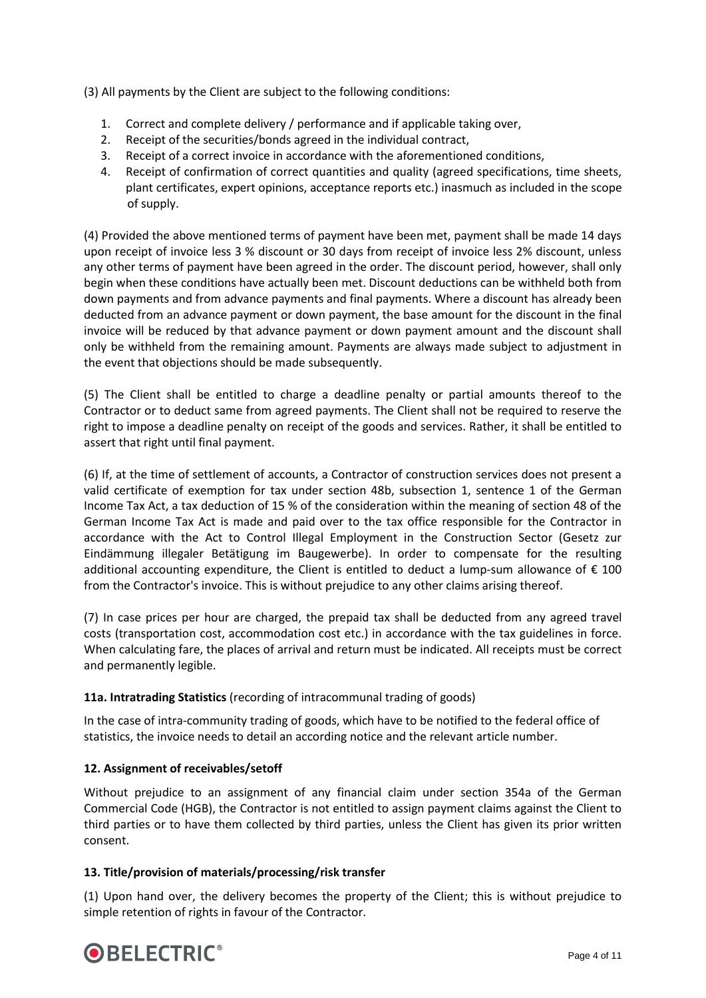(3) All payments by the Client are subject to the following conditions:

- 1. Correct and complete delivery / performance and if applicable taking over,
- 2. Receipt of the securities/bonds agreed in the individual contract,
- 3. Receipt of a correct invoice in accordance with the aforementioned conditions,
- 4. Receipt of confirmation of correct quantities and quality (agreed specifications, time sheets, plant certificates, expert opinions, acceptance reports etc.) inasmuch as included in the scope of supply.

(4) Provided the above mentioned terms of payment have been met, payment shall be made 14 days upon receipt of invoice less 3 % discount or 30 days from receipt of invoice less 2% discount, unless any other terms of payment have been agreed in the order. The discount period, however, shall only begin when these conditions have actually been met. Discount deductions can be withheld both from down payments and from advance payments and final payments. Where a discount has already been deducted from an advance payment or down payment, the base amount for the discount in the final invoice will be reduced by that advance payment or down payment amount and the discount shall only be withheld from the remaining amount. Payments are always made subject to adjustment in the event that objections should be made subsequently.

(5) The Client shall be entitled to charge a deadline penalty or partial amounts thereof to the Contractor or to deduct same from agreed payments. The Client shall not be required to reserve the right to impose a deadline penalty on receipt of the goods and services. Rather, it shall be entitled to assert that right until final payment.

(6) If, at the time of settlement of accounts, a Contractor of construction services does not present a valid certificate of exemption for tax under section 48b, subsection 1, sentence 1 of the German Income Tax Act, a tax deduction of 15 % of the consideration within the meaning of section 48 of the German Income Tax Act is made and paid over to the tax office responsible for the Contractor in accordance with the Act to Control Illegal Employment in the Construction Sector (Gesetz zur Eindämmung illegaler Betätigung im Baugewerbe). In order to compensate for the resulting additional accounting expenditure, the Client is entitled to deduct a lump-sum allowance of  $\epsilon$  100 from the Contractor's invoice. This is without prejudice to any other claims arising thereof.

(7) In case prices per hour are charged, the prepaid tax shall be deducted from any agreed travel costs (transportation cost, accommodation cost etc.) in accordance with the tax guidelines in force. When calculating fare, the places of arrival and return must be indicated. All receipts must be correct and permanently legible.

# **11a. Intratrading Statistics** (recording of intracommunal trading of goods)

In the case of intra-community trading of goods, which have to be notified to the federal office of statistics, the invoice needs to detail an according notice and the relevant article number.

# **12. Assignment of receivables/setoff**

Without prejudice to an assignment of any financial claim under section 354a of the German Commercial Code (HGB), the Contractor is not entitled to assign payment claims against the Client to third parties or to have them collected by third parties, unless the Client has given its prior written consent.

#### **13. Title/provision of materials/processing/risk transfer**

(1) Upon hand over, the delivery becomes the property of the Client; this is without prejudice to simple retention of rights in favour of the Contractor.

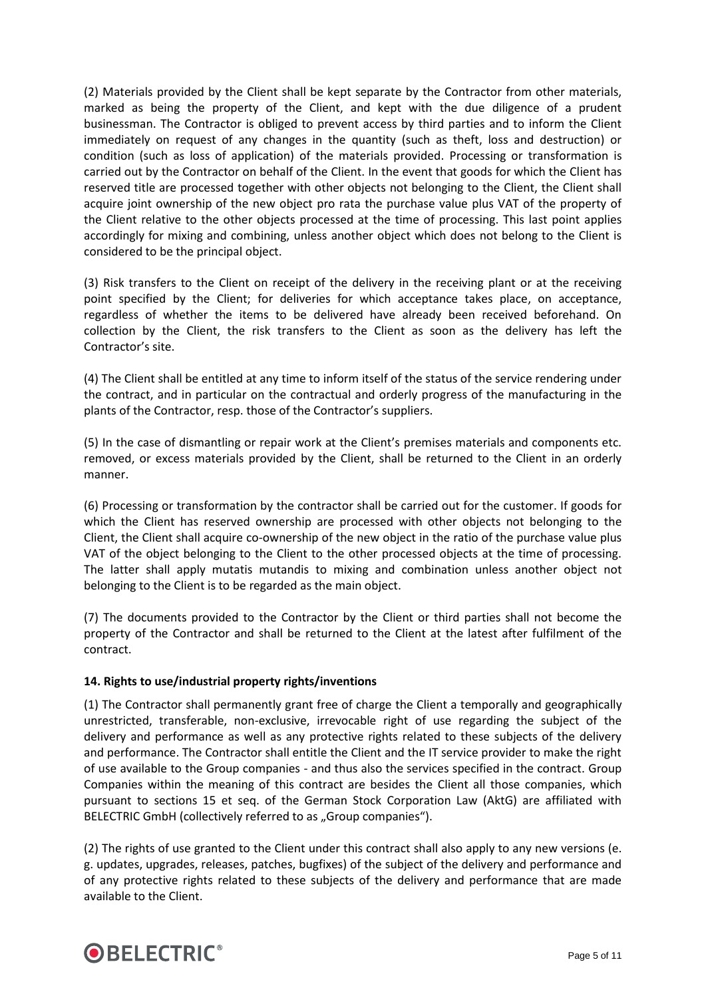(2) Materials provided by the Client shall be kept separate by the Contractor from other materials, marked as being the property of the Client, and kept with the due diligence of a prudent businessman. The Contractor is obliged to prevent access by third parties and to inform the Client immediately on request of any changes in the quantity (such as theft, loss and destruction) or condition (such as loss of application) of the materials provided. Processing or transformation is carried out by the Contractor on behalf of the Client. In the event that goods for which the Client has reserved title are processed together with other objects not belonging to the Client, the Client shall acquire joint ownership of the new object pro rata the purchase value plus VAT of the property of the Client relative to the other objects processed at the time of processing. This last point applies accordingly for mixing and combining, unless another object which does not belong to the Client is considered to be the principal object.

(3) Risk transfers to the Client on receipt of the delivery in the receiving plant or at the receiving point specified by the Client; for deliveries for which acceptance takes place, on acceptance, regardless of whether the items to be delivered have already been received beforehand. On collection by the Client, the risk transfers to the Client as soon as the delivery has left the Contractor's site.

(4) The Client shall be entitled at any time to inform itself of the status of the service rendering under the contract, and in particular on the contractual and orderly progress of the manufacturing in the plants of the Contractor, resp. those of the Contractor's suppliers.

(5) In the case of dismantling or repair work at the Client's premises materials and components etc. removed, or excess materials provided by the Client, shall be returned to the Client in an orderly manner.

(6) Processing or transformation by the contractor shall be carried out for the customer. If goods for which the Client has reserved ownership are processed with other objects not belonging to the Client, the Client shall acquire co-ownership of the new object in the ratio of the purchase value plus VAT of the object belonging to the Client to the other processed objects at the time of processing. The latter shall apply mutatis mutandis to mixing and combination unless another object not belonging to the Client is to be regarded as the main object.

(7) The documents provided to the Contractor by the Client or third parties shall not become the property of the Contractor and shall be returned to the Client at the latest after fulfilment of the contract.

#### **14. Rights to use/industrial property rights/inventions**

(1) The Contractor shall permanently grant free of charge the Client a temporally and geographically unrestricted, transferable, non-exclusive, irrevocable right of use regarding the subject of the delivery and performance as well as any protective rights related to these subjects of the delivery and performance. The Contractor shall entitle the Client and the IT service provider to make the right of use available to the Group companies - and thus also the services specified in the contract. Group Companies within the meaning of this contract are besides the Client all those companies, which pursuant to sections 15 et seq. of the German Stock Corporation Law (AktG) are affiliated with BELECTRIC GmbH (collectively referred to as "Group companies").

(2) The rights of use granted to the Client under this contract shall also apply to any new versions (e. g. updates, upgrades, releases, patches, bugfixes) of the subject of the delivery and performance and of any protective rights related to these subjects of the delivery and performance that are made available to the Client.

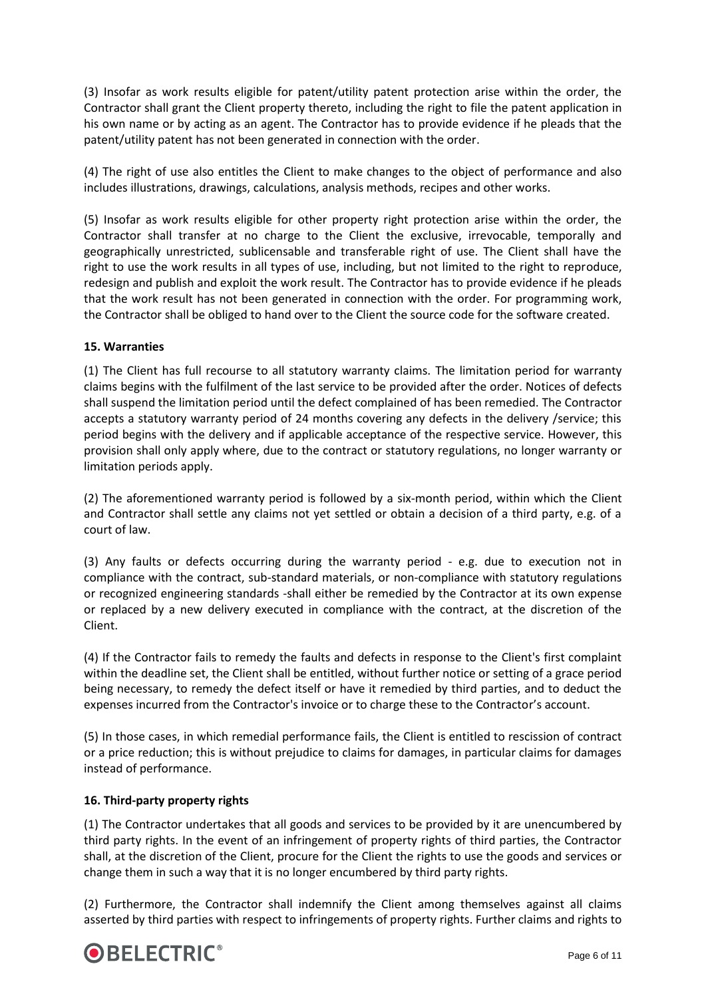(3) Insofar as work results eligible for patent/utility patent protection arise within the order, the Contractor shall grant the Client property thereto, including the right to file the patent application in his own name or by acting as an agent. The Contractor has to provide evidence if he pleads that the patent/utility patent has not been generated in connection with the order.

(4) The right of use also entitles the Client to make changes to the object of performance and also includes illustrations, drawings, calculations, analysis methods, recipes and other works.

(5) Insofar as work results eligible for other property right protection arise within the order, the Contractor shall transfer at no charge to the Client the exclusive, irrevocable, temporally and geographically unrestricted, sublicensable and transferable right of use. The Client shall have the right to use the work results in all types of use, including, but not limited to the right to reproduce, redesign and publish and exploit the work result. The Contractor has to provide evidence if he pleads that the work result has not been generated in connection with the order. For programming work, the Contractor shall be obliged to hand over to the Client the source code for the software created.

### **15. Warranties**

(1) The Client has full recourse to all statutory warranty claims. The limitation period for warranty claims begins with the fulfilment of the last service to be provided after the order. Notices of defects shall suspend the limitation period until the defect complained of has been remedied. The Contractor accepts a statutory warranty period of 24 months covering any defects in the delivery /service; this period begins with the delivery and if applicable acceptance of the respective service. However, this provision shall only apply where, due to the contract or statutory regulations, no longer warranty or limitation periods apply.

(2) The aforementioned warranty period is followed by a six-month period, within which the Client and Contractor shall settle any claims not yet settled or obtain a decision of a third party, e.g. of a court of law.

(3) Any faults or defects occurring during the warranty period - e.g. due to execution not in compliance with the contract, sub-standard materials, or non-compliance with statutory regulations or recognized engineering standards -shall either be remedied by the Contractor at its own expense or replaced by a new delivery executed in compliance with the contract, at the discretion of the Client.

(4) If the Contractor fails to remedy the faults and defects in response to the Client's first complaint within the deadline set, the Client shall be entitled, without further notice or setting of a grace period being necessary, to remedy the defect itself or have it remedied by third parties, and to deduct the expenses incurred from the Contractor's invoice or to charge these to the Contractor's account.

(5) In those cases, in which remedial performance fails, the Client is entitled to rescission of contract or a price reduction; this is without prejudice to claims for damages, in particular claims for damages instead of performance.

#### **16. Third-party property rights**

(1) The Contractor undertakes that all goods and services to be provided by it are unencumbered by third party rights. In the event of an infringement of property rights of third parties, the Contractor shall, at the discretion of the Client, procure for the Client the rights to use the goods and services or change them in such a way that it is no longer encumbered by third party rights.

(2) Furthermore, the Contractor shall indemnify the Client among themselves against all claims asserted by third parties with respect to infringements of property rights. Further claims and rights to

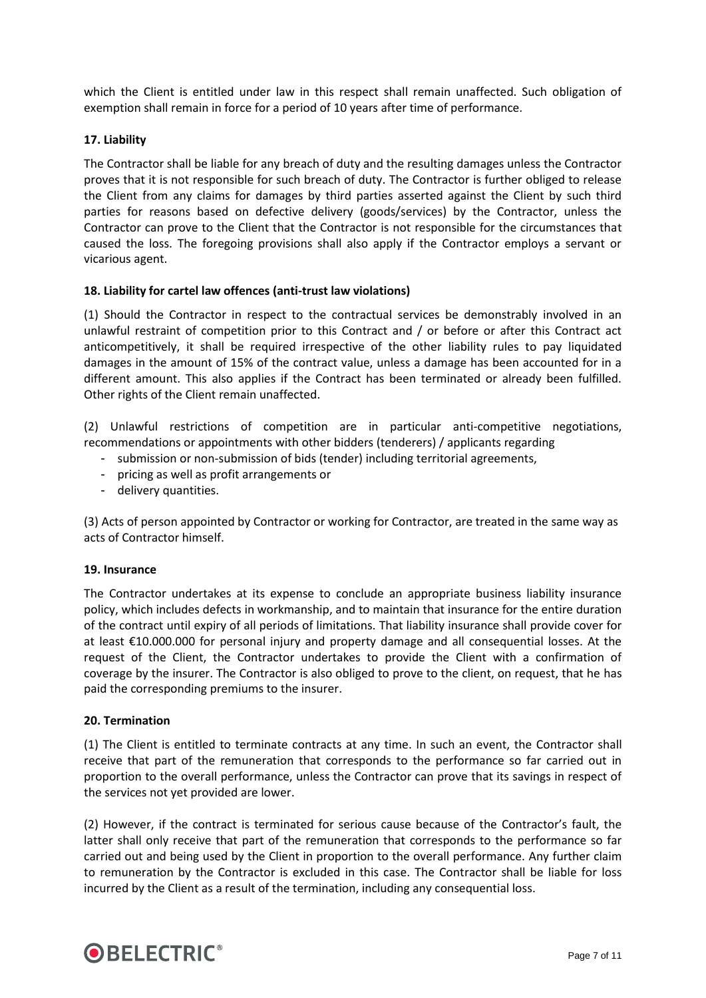which the Client is entitled under law in this respect shall remain unaffected. Such obligation of exemption shall remain in force for a period of 10 years after time of performance.

#### **17. Liability**

The Contractor shall be liable for any breach of duty and the resulting damages unless the Contractor proves that it is not responsible for such breach of duty. The Contractor is further obliged to release the Client from any claims for damages by third parties asserted against the Client by such third parties for reasons based on defective delivery (goods/services) by the Contractor, unless the Contractor can prove to the Client that the Contractor is not responsible for the circumstances that caused the loss. The foregoing provisions shall also apply if the Contractor employs a servant or vicarious agent.

#### **18. Liability for cartel law offences (anti-trust law violations)**

(1) Should the Contractor in respect to the contractual services be demonstrably involved in an unlawful restraint of competition prior to this Contract and / or before or after this Contract act anticompetitively, it shall be required irrespective of the other liability rules to pay liquidated damages in the amount of 15% of the contract value, unless a damage has been accounted for in a different amount. This also applies if the Contract has been terminated or already been fulfilled. Other rights of the Client remain unaffected.

(2) Unlawful restrictions of competition are in particular anti-competitive negotiations, recommendations or appointments with other bidders (tenderers) / applicants regarding

- submission or non-submission of bids (tender) including territorial agreements,
- pricing as well as profit arrangements or
- delivery quantities.

(3) Acts of person appointed by Contractor or working for Contractor, are treated in the same way as acts of Contractor himself.

#### **19. Insurance**

The Contractor undertakes at its expense to conclude an appropriate business liability insurance policy, which includes defects in workmanship, and to maintain that insurance for the entire duration of the contract until expiry of all periods of limitations. That liability insurance shall provide cover for at least €10.000.000 for personal injury and property damage and all consequential losses. At the request of the Client, the Contractor undertakes to provide the Client with a confirmation of coverage by the insurer. The Contractor is also obliged to prove to the client, on request, that he has paid the corresponding premiums to the insurer.

#### **20. Termination**

(1) The Client is entitled to terminate contracts at any time. In such an event, the Contractor shall receive that part of the remuneration that corresponds to the performance so far carried out in proportion to the overall performance, unless the Contractor can prove that its savings in respect of the services not yet provided are lower.

(2) However, if the contract is terminated for serious cause because of the Contractor's fault, the latter shall only receive that part of the remuneration that corresponds to the performance so far carried out and being used by the Client in proportion to the overall performance. Any further claim to remuneration by the Contractor is excluded in this case. The Contractor shall be liable for loss incurred by the Client as a result of the termination, including any consequential loss.

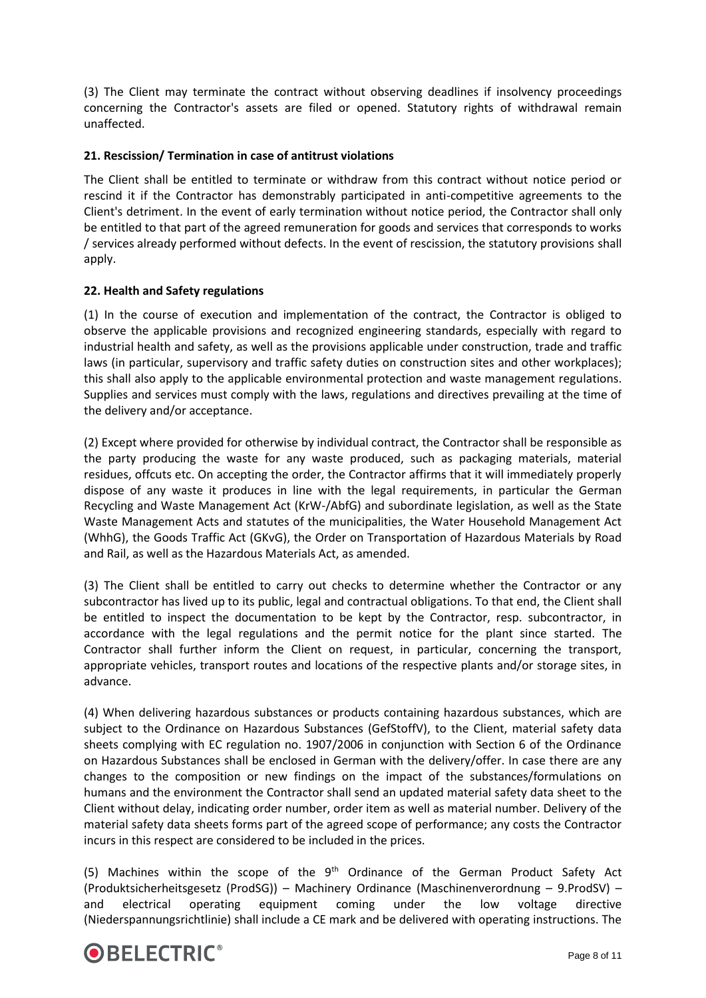(3) The Client may terminate the contract without observing deadlines if insolvency proceedings concerning the Contractor's assets are filed or opened. Statutory rights of withdrawal remain unaffected.

### **21. Rescission/ Termination in case of antitrust violations**

The Client shall be entitled to terminate or withdraw from this contract without notice period or rescind it if the Contractor has demonstrably participated in anti-competitive agreements to the Client's detriment. In the event of early termination without notice period, the Contractor shall only be entitled to that part of the agreed remuneration for goods and services that corresponds to works / services already performed without defects. In the event of rescission, the statutory provisions shall apply.

#### **22. Health and Safety regulations**

(1) In the course of execution and implementation of the contract, the Contractor is obliged to observe the applicable provisions and recognized engineering standards, especially with regard to industrial health and safety, as well as the provisions applicable under construction, trade and traffic laws (in particular, supervisory and traffic safety duties on construction sites and other workplaces); this shall also apply to the applicable environmental protection and waste management regulations. Supplies and services must comply with the laws, regulations and directives prevailing at the time of the delivery and/or acceptance.

(2) Except where provided for otherwise by individual contract, the Contractor shall be responsible as the party producing the waste for any waste produced, such as packaging materials, material residues, offcuts etc. On accepting the order, the Contractor affirms that it will immediately properly dispose of any waste it produces in line with the legal requirements, in particular the German Recycling and Waste Management Act (KrW-/AbfG) and subordinate legislation, as well as the State Waste Management Acts and statutes of the municipalities, the Water Household Management Act (WhhG), the Goods Traffic Act (GKvG), the Order on Transportation of Hazardous Materials by Road and Rail, as well as the Hazardous Materials Act, as amended.

(3) The Client shall be entitled to carry out checks to determine whether the Contractor or any subcontractor has lived up to its public, legal and contractual obligations. To that end, the Client shall be entitled to inspect the documentation to be kept by the Contractor, resp. subcontractor, in accordance with the legal regulations and the permit notice for the plant since started. The Contractor shall further inform the Client on request, in particular, concerning the transport, appropriate vehicles, transport routes and locations of the respective plants and/or storage sites, in advance.

(4) When delivering hazardous substances or products containing hazardous substances, which are subject to the Ordinance on Hazardous Substances (GefStoffV), to the Client, material safety data sheets complying with EC regulation no. 1907/2006 in conjunction with Section 6 of the Ordinance on Hazardous Substances shall be enclosed in German with the delivery/offer. In case there are any changes to the composition or new findings on the impact of the substances/formulations on humans and the environment the Contractor shall send an updated material safety data sheet to the Client without delay, indicating order number, order item as well as material number. Delivery of the material safety data sheets forms part of the agreed scope of performance; any costs the Contractor incurs in this respect are considered to be included in the prices.

(5) Machines within the scope of the  $9<sup>th</sup>$  Ordinance of the German Product Safety Act (Produktsicherheitsgesetz (ProdSG)) – Machinery Ordinance (Maschinenverordnung – 9.ProdSV) – and electrical operating equipment coming under the low voltage directive (Niederspannungsrichtlinie) shall include a CE mark and be delivered with operating instructions. The

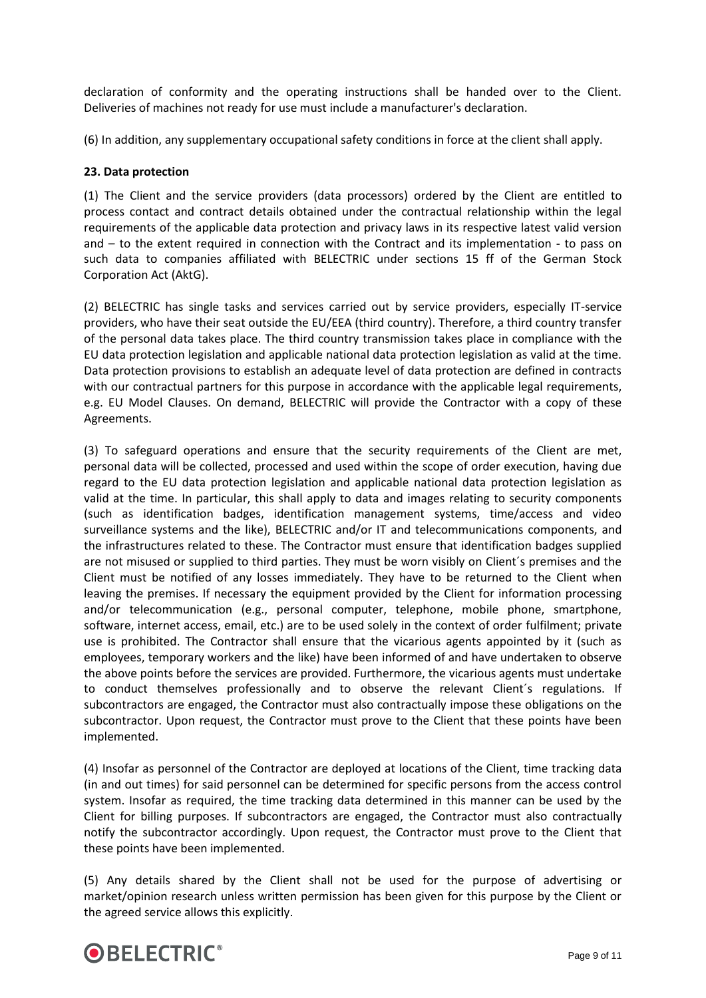declaration of conformity and the operating instructions shall be handed over to the Client. Deliveries of machines not ready for use must include a manufacturer's declaration.

(6) In addition, any supplementary occupational safety conditions in force at the client shall apply.

#### **23. Data protection**

(1) The Client and the service providers (data processors) ordered by the Client are entitled to process contact and contract details obtained under the contractual relationship within the legal requirements of the applicable data protection and privacy laws in its respective latest valid version and – to the extent required in connection with the Contract and its implementation - to pass on such data to companies affiliated with BELECTRIC under sections 15 ff of the German Stock Corporation Act (AktG).

(2) BELECTRIC has single tasks and services carried out by service providers, especially IT-service providers, who have their seat outside the EU/EEA (third country). Therefore, a third country transfer of the personal data takes place. The third country transmission takes place in compliance with the EU data protection legislation and applicable national data protection legislation as valid at the time. Data protection provisions to establish an adequate level of data protection are defined in contracts with our contractual partners for this purpose in accordance with the applicable legal requirements, e.g. EU Model Clauses. On demand, BELECTRIC will provide the Contractor with a copy of these Agreements.

(3) To safeguard operations and ensure that the security requirements of the Client are met, personal data will be collected, processed and used within the scope of order execution, having due regard to the EU data protection legislation and applicable national data protection legislation as valid at the time. In particular, this shall apply to data and images relating to security components (such as identification badges, identification management systems, time/access and video surveillance systems and the like), BELECTRIC and/or IT and telecommunications components, and the infrastructures related to these. The Contractor must ensure that identification badges supplied are not misused or supplied to third parties. They must be worn visibly on Client´s premises and the Client must be notified of any losses immediately. They have to be returned to the Client when leaving the premises. If necessary the equipment provided by the Client for information processing and/or telecommunication (e.g., personal computer, telephone, mobile phone, smartphone, software, internet access, email, etc.) are to be used solely in the context of order fulfilment; private use is prohibited. The Contractor shall ensure that the vicarious agents appointed by it (such as employees, temporary workers and the like) have been informed of and have undertaken to observe the above points before the services are provided. Furthermore, the vicarious agents must undertake to conduct themselves professionally and to observe the relevant Client´s regulations. If subcontractors are engaged, the Contractor must also contractually impose these obligations on the subcontractor. Upon request, the Contractor must prove to the Client that these points have been implemented.

(4) Insofar as personnel of the Contractor are deployed at locations of the Client, time tracking data (in and out times) for said personnel can be determined for specific persons from the access control system. Insofar as required, the time tracking data determined in this manner can be used by the Client for billing purposes. If subcontractors are engaged, the Contractor must also contractually notify the subcontractor accordingly. Upon request, the Contractor must prove to the Client that these points have been implemented.

(5) Any details shared by the Client shall not be used for the purpose of advertising or market/opinion research unless written permission has been given for this purpose by the Client or the agreed service allows this explicitly.

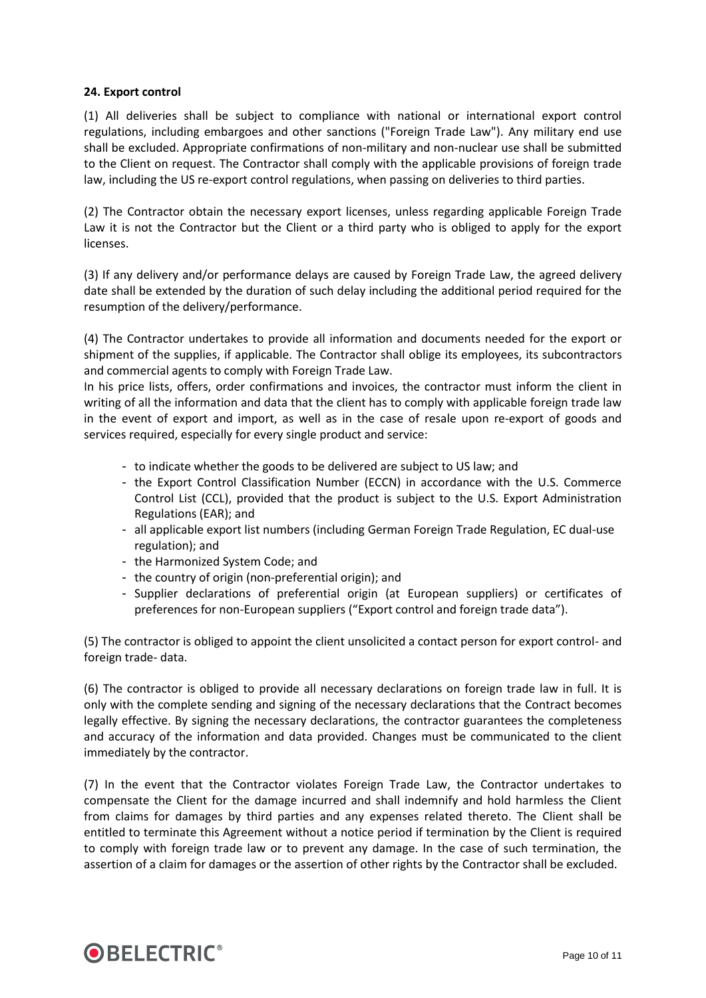#### **24. Export control**

(1) All deliveries shall be subject to compliance with national or international export control regulations, including embargoes and other sanctions ("Foreign Trade Law"). Any military end use shall be excluded. Appropriate confirmations of non-military and non-nuclear use shall be submitted to the Client on request. The Contractor shall comply with the applicable provisions of foreign trade law, including the US re-export control regulations, when passing on deliveries to third parties.

(2) The Contractor obtain the necessary export licenses, unless regarding applicable Foreign Trade Law it is not the Contractor but the Client or a third party who is obliged to apply for the export licenses.

(3) If any delivery and/or performance delays are caused by Foreign Trade Law, the agreed delivery date shall be extended by the duration of such delay including the additional period required for the resumption of the delivery/performance.

(4) The Contractor undertakes to provide all information and documents needed for the export or shipment of the supplies, if applicable. The Contractor shall oblige its employees, its subcontractors and commercial agents to comply with Foreign Trade Law.

In his price lists, offers, order confirmations and invoices, the contractor must inform the client in writing of all the information and data that the client has to comply with applicable foreign trade law in the event of export and import, as well as in the case of resale upon re-export of goods and services required, especially for every single product and service:

- to indicate whether the goods to be delivered are subject to US law; and
- the Export Control Classification Number (ECCN) in accordance with the U.S. Commerce Control List (CCL), provided that the product is subject to the U.S. Export Administration Regulations (EAR); and
- all applicable export list numbers (including German Foreign Trade Regulation, EC dual-use regulation); and
- the Harmonized System Code; and
- the country of origin (non-preferential origin); and
- Supplier declarations of preferential origin (at European suppliers) or certificates of preferences for non-European suppliers ("Export control and foreign trade data").

(5) The contractor is obliged to appoint the client unsolicited a contact person for export control- and foreign trade- data.

(6) The contractor is obliged to provide all necessary declarations on foreign trade law in full. It is only with the complete sending and signing of the necessary declarations that the Contract becomes legally effective. By signing the necessary declarations, the contractor guarantees the completeness and accuracy of the information and data provided. Changes must be communicated to the client immediately by the contractor.

(7) In the event that the Contractor violates Foreign Trade Law, the Contractor undertakes to compensate the Client for the damage incurred and shall indemnify and hold harmless the Client from claims for damages by third parties and any expenses related thereto. The Client shall be entitled to terminate this Agreement without a notice period if termination by the Client is required to comply with foreign trade law or to prevent any damage. In the case of such termination, the assertion of a claim for damages or the assertion of other rights by the Contractor shall be excluded.